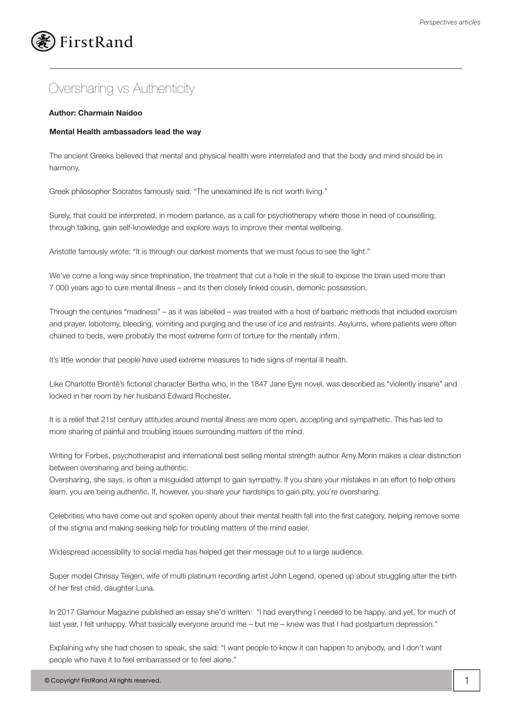## FirstRand

## Oversharing vs Authenticity

## **Author: Charmain Naidoo**

## **Mental Health ambassadors lead the way**

The ancient Greeks believed that mental and physical health were interrelated and that the body and mind should be in harmony.

Greek philosopher Socrates famously said: "The unexamined life is not worth living."

Surely, that could be interpreted, in modern parlance, as a call for psychotherapy where those in need of counselling, through talking, gain self-knowledge and explore ways to improve their mental wellbeing.

Aristotle famously wrote: "It is through our darkest moments that we must focus to see the light."

We've come a long way since trephination, the treatment that cut a hole in the skull to expose the brain used more than 7 000 years ago to cure mental illness – and its then closely linked cousin, demonic possession.

Through the centuries "madness" – as it was labelled – was treated with a host of barbaric methods that included exorcism and prayer, lobotomy, bleeding, vomiting and purging and the use of ice and restraints. Asylums, where patients were often chained to beds, were probably the most extreme form of torture for the mentally infirm.

It's little wonder that people have used extreme measures to hide signs of mental ill health.

Like Charlotte Brontë's fictional character Bertha who, in the 1847 Jane Eyre novel, was described as "violently insane" and locked in her room by her husband Edward Rochester.

It is a relief that 21st century attitudes around mental illness are more open, accepting and sympathetic. This has led to more sharing of painful and troubling issues surrounding matters of the mind.

Writing for Forbes, psychotherapist and international best selling mental strength author Amy Morin makes a clear distinction between oversharing and being authentic.

Oversharing, she says, is often a misguided attempt to gain sympathy. If you share your mistakes in an effort to help others learn, you are being authentic. If, however, you share your hardships to gain pity, you're oversharing.

Celebrities who have come out and spoken openly about their mental health fall into the first category, helping remove some of the stigma and making seeking help for troubling matters of the mind easier.

Widespread accessibility to social media has helped get their message out to a large audience.

Super model Chrissy Teigen, wife of multi platinum recording artist John Legend, opened up about struggling after the birth of her first child, daughter Luna.

In 2017 Glamour Magazine published an essay she'd written: "I had everything I needed to be happy, and yet, for much of last year, I felt unhappy. What basically everyone around me – but me – knew was that I had postpartum depression."

Explaining why she had chosen to speak, she said: "I want people to know it can happen to anybody, and I don't want people who have it to feel embarrassed or to feel alone."

© Copyright FirstRand All rights reserved. 1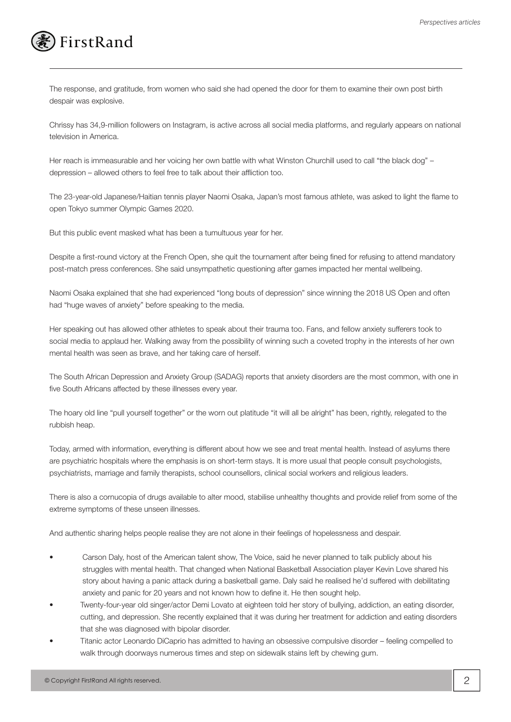

The response, and gratitude, from women who said she had opened the door for them to examine their own post birth despair was explosive.

Chrissy has 34,9-million followers on Instagram, is active across all social media platforms, and regularly appears on national television in America.

Her reach is immeasurable and her voicing her own battle with what Winston Churchill used to call "the black dog" – depression – allowed others to feel free to talk about their affliction too.

The 23-year-old Japanese/Haitian tennis player Naomi Osaka, Japan's most famous athlete, was asked to light the flame to open Tokyo summer Olympic Games 2020.

But this public event masked what has been a tumultuous year for her.

Despite a first-round victory at the French Open, she quit the tournament after being fined for refusing to attend mandatory post-match press conferences. She said unsympathetic questioning after games impacted her mental wellbeing.

Naomi Osaka explained that she had experienced "long bouts of depression" since winning the 2018 US Open and often had "huge waves of anxiety" before speaking to the media.

Her speaking out has allowed other athletes to speak about their trauma too. Fans, and fellow anxiety sufferers took to social media to applaud her. Walking away from the possibility of winning such a coveted trophy in the interests of her own mental health was seen as brave, and her taking care of herself.

The South African Depression and Anxiety Group (SADAG) reports that anxiety disorders are the most common, with one in five South Africans affected by these illnesses every year.

The hoary old line "pull yourself together" or the worn out platitude "it will all be alright" has been, rightly, relegated to the rubbish heap.

Today, armed with information, everything is different about how we see and treat mental health. Instead of asylums there are psychiatric hospitals where the emphasis is on short-term stays. It is more usual that people consult psychologists, psychiatrists, marriage and family therapists, school counsellors, clinical social workers and religious leaders.

There is also a cornucopia of drugs available to alter mood, stabilise unhealthy thoughts and provide relief from some of the extreme symptoms of these unseen illnesses.

And authentic sharing helps people realise they are not alone in their feelings of hopelessness and despair.

- Carson Daly, host of the American talent show, The Voice, said he never planned to talk publicly about his struggles with mental health. That changed when National Basketball Association player Kevin Love shared his story about having a panic attack during a basketball game. Daly said he realised he'd suffered with debilitating anxiety and panic for 20 years and not known how to define it. He then sought help.
- Twenty-four-year old singer/actor Demi Lovato at eighteen told her story of bullying, addiction, an eating disorder, cutting, and depression. She recently explained that it was during her treatment for addiction and eating disorders that she was diagnosed with bipolar disorder.
- Titanic actor Leonardo DiCaprio has admitted to having an obsessive compulsive disorder feeling compelled to walk through doorways numerous times and step on sidewalk stains left by chewing gum.